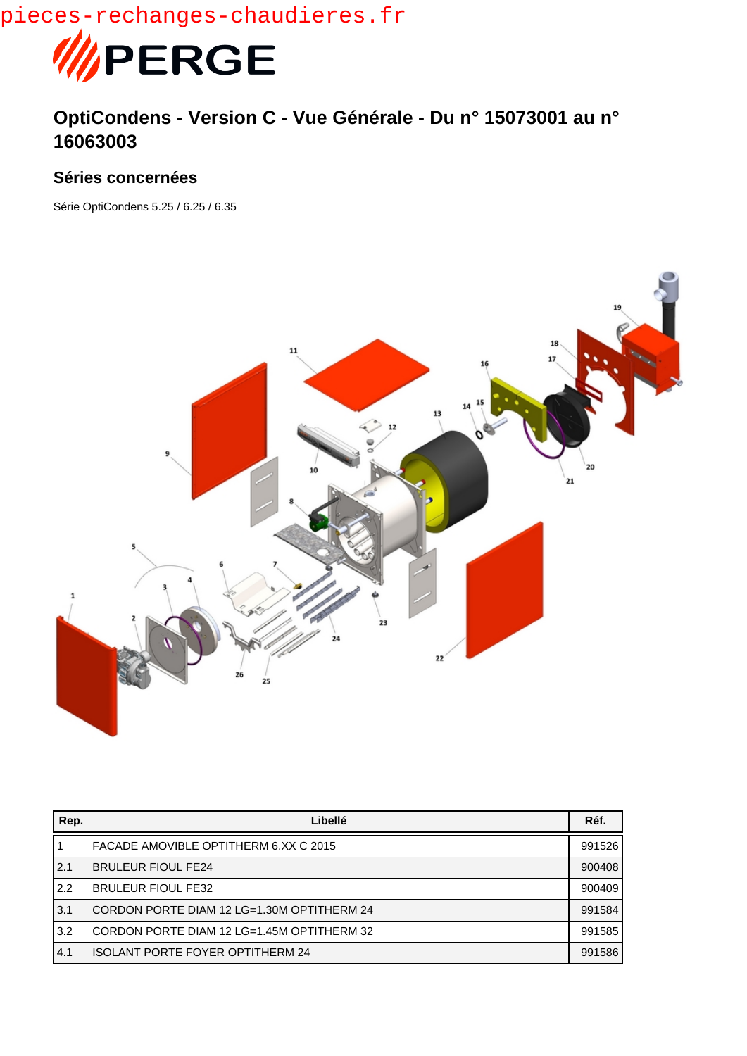pieces-rechanges-chaudieres.fr



## **OptiCondens - Version C - Vue Générale - Du n° 15073001 au n° 16063003**

## **Séries concernées**

Série OptiCondens 5.25 / 6.25 / 6.35



| Rep. | Libellé                                    | Réf.   |
|------|--------------------------------------------|--------|
|      | FACADE AMOVIBLE OPTITHERM 6.XX C 2015      | 991526 |
| 2.1  | <b>BRULEUR FIOUL FE24</b>                  | 900408 |
| 2.2  | <b>BRULEUR FIOUL FE32</b>                  | 900409 |
| 3.1  | CORDON PORTE DIAM 12 LG=1.30M OPTITHERM 24 | 991584 |
| 3.2  | CORDON PORTE DIAM 12 LG=1.45M OPTITHERM 32 | 991585 |
| 4.1  | <b>ISOLANT PORTE FOYER OPTITHERM 24</b>    | 991586 |